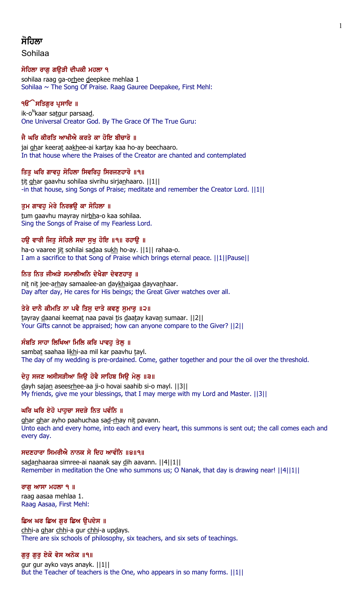# ਸੋਹਿਲਾ

Sohilaa

# ਸੋਹਿਲਾ ਰਾਗ ਗੳੜੀ ਦੀਪਕੀ ਮਹਲਾ ੧

sohilaa raag ga-orhee deepkee mehlaa 1 Sohilaa  $\sim$  The Song Of Praise. Raag Gauree Deepakee, First Mehl:

# ੧**ੳੱੇ ਸਤਿਗੁਰ ਪ੍ਰਸਾਦਿ** ॥

ik-o<sup>n</sup>kaar sa<u>t</u>gur parsaa<u>d</u>. One Universal Creator God. By The Grace Of The True Guru:

# ਜੈ ਘਰਿ ਕੀਰਤਿ ਆਖੀਐ ਕਰਤੇ ਕਾ ਹੋਇ ਬੀਚਾਰੋ ॥

jai ghar keerat aakhee-ai kartay kaa ho-ay beechaaro. In that house where the Praises of the Creator are chanted and contemplated

# ਤਿਤ ਘਰਿ ਗਾਵਹ ਸੋਹਿਲਾ ਸਿਵਰਿਹ ਸਿਰਜਣਹਾਰੋ ॥੧॥

tit ghar gaavhu sohilaa sivrihu sirjanhaaro. ||1|| -in that house, sing Songs of Praise; meditate and remember the Creator Lord. ||1||

# ਤੁਮ ਗਾਵਹੁ ਮੇਰੇ ਨਿਰਭਉ ਕਾ ਸੋਹਿਲਾ ॥

tum gaavhu mayray nirbha-o kaa sohilaa. Sing the Songs of Praise of my Fearless Lord.

# ਹਉ ਵਾਰੀ ਜਿਤੁ ਸੋਹਿਲੋ ਸਦਾ ਸੁਖੁ ਹੋਇ ॥੧॥ ਰਹਾਉ ॥

ha-o vaaree jit sohilai sadaa sukh ho-ay. ||1|| rahaa-o. I am a sacrifice to that Song of Praise which brings eternal peace. ||1||Pause||

# ਨਿਤ ਨਿਤ ਜੀਅੜੇ ਸਮਾਲੀਅਨਿ ਦੇਖੈਗਾ ਦੇਵਣਹਾਰ ॥

nit nit jee-arhay samaalee-an daykhaigaa dayvanhaar. Day after day, He cares for His beings; the Great Giver watches over all.

# ਤੇਰੇ ਦਾਨੈ ਕੀਮਤਿ ਨਾ ਪਵੈ ਤਿਸੂ ਦਾਤੇ ਕਵਣੂ ਸੁਮਾਰੂ ॥੨॥

tayray daanai keemat naa pavai tis daatay kavan sumaar. [[2]] Your Gifts cannot be appraised; how can anyone compare to the Giver? ||2||

# ਸੰਬਤਿ ਸਾਹਾ ਲਿਖਿਆ ਮਿਲਿ ਕਰਿ ਪਾਵਹੁ ਤੇਲੁ ॥

sambat saahaa likhi-aa mil kar paavhu tayl. The day of my wedding is pre-ordained. Come, gather together and pour the oil over the threshold.

# ਦੇਹੁ ਸਜਣ ਅਸੀਸੜੀਆ ਜਿਉ ਹੋਵੈ ਸਾਹਿਬ ਸਿਉ ਮੇਲੁ ॥੩॥

dayh sajan aseesrhee-aa ji-o hovai saahib si-o mayl. ||3|| My friends, give me your blessings, that I may merge with my Lord and Master. ||3||

# ਘਰਿ ਘਰਿ ਏਹੋ ਪਾਹੁਚਾ ਸਦੜੇ ਨਿਤ ਪਵੰਨਿ ॥

ghar ghar ayho paahuchaa sad-rhay nit pavann. Unto each and every home, into each and every heart, this summons is sent out; the call comes each and every day.

# ਸਦਣਹਾਰਾ ਸਿਮਰੀਐ ਨਾਨਕ ਸੇ ਦਿਹ ਆਵੰਨਿ ॥੪॥੧॥

sadanhaaraa simree-ai naanak say dih aavann. ||4||1|| Remember in meditation the One who summons us; O Nanak, that day is drawing near! ||4||1||

# ਰਾਗੁ ਆਸਾ ਮਹਲਾ ੧ ॥

raag aasaa mehlaa 1. Raag Aasaa, First Mehl:

# ਛਿਅ ਘਰ ਛਿਅ ਗੁਰ ਛਿਅ ਉਪਦੇਸ ॥

chhi-a ghar chhi-a gur chhi-a updays. There are six schools of philosophy, six teachers, and six sets of teachings.

# ਗੁਰੁ ਗੁਰੁ ਏਕੋ ਵੇਸ ਅਨੇਕ ॥੧॥

gur gur ayko vays anayk. ||1|| But the Teacher of teachers is the One, who appears in so many forms. ||1||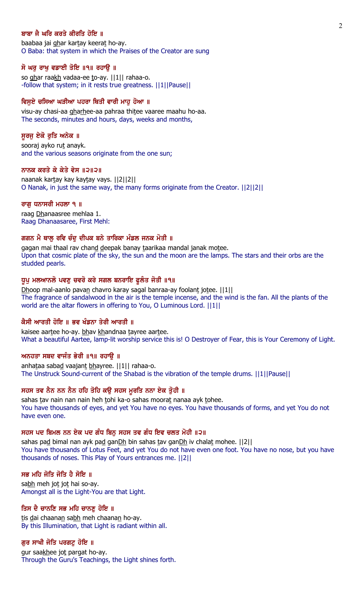#### ਬਾਬਾ ਜੈ ਘਰਿ ਕਰਤੇ ਕੀਰਤਿ ਹੋਇ ॥

baabaa jai ghar kartay keerat ho-ay. O Baba: that system in which the Praises of the Creator are sung

#### ਸੋ ਘਰੁ ਰਾਖੁ ਵਡਾਈ ਤੋਇ ॥੧॥ ਰਹਾਉ ॥

so ghar raakh vadaa-ee to-ay. ||1|| rahaa-o. -follow that system; in it rests true greatness. ||1||Pause||

### ਵਿਸੁਏ ਚਸਿਆ ਘੜੀਆ ਪਹਰਾ ਥਿਤੀ ਵਾਰੀ ਮਾਹੂ ਹੋਆ ॥

visu-ay chasi-aa gharhee-aa pahraa thitee vaaree maahu ho-aa. The seconds, minutes and hours, days, weeks and months,

#### ਸੁਰਜੁ ਏਕੋ ਰੁਤਿ ਅਨੇਕ ॥

sooraj ayko rut anayk. and the various seasons originate from the one sun;

#### ਨਾਨਕ ਕਰਤੇ ਕੇ ਕੇਤੇ ਵੇਸ ॥੨॥੨॥

naanak kartay kay kaytay vays. ||2||2|| O Nanak, in just the same way, the many forms originate from the Creator. ||2||2||

#### ਰਾਗੂ ਧਨਾਸਰੀ ਮਹਲਾ ੧ ॥

raag Dhanaasree mehlaa 1. Raag Dhanaasaree, First Mehl:

# ਗਗਨ ਮੈ ਥਾਲ ਰਵਿ ਚੰਦ ਦੀਪਕ ਬਨੇ ਤਾਰਿਕਾ ਮੰਡਲ ਜਨਕ ਮੋਤੀ ॥

gagan mai thaal rav chand deepak banay taarikaa mandal janak motee. Upon that cosmic plate of the sky, the sun and the moon are the lamps. The stars and their orbs are the studded pearls.

#### ਧੁਪੁ ਮਲਆਨਲੋ ਪਵਣੁ ਚਵਰੋ ਕਰੇ ਸਗਲ ਬਨਰਾਇ ਫੁਲੰਤ ਜੋਤੀ ॥੧॥

Dhoop mal-aanlo pavan chavro karay sagal banraa-ay foolant jotee.  $||1||$ The fragrance of sandalwood in the air is the temple incense, and the wind is the fan. All the plants of the world are the altar flowers in offering to You, O Luminous Lord. ||1||

#### ਕੈਸੀ ਆਰਤੀ ਹੋਇ ॥ ਭਵ ਖੰਡਨਾ ਤੇਰੀ ਆਰਤੀ ॥

kaisee aartee ho-ay. bhav khandnaa tayree aartee. What a beautiful Aartee, lamp-lit worship service this is! O Destroyer of Fear, this is Your Ceremony of Light.

### ਅਨਹਤਾ ਸਬਦ ਵਾਜੰਤ ਭੇਰੀ ॥੧॥ ਰਹਾਉ ॥

anhataa sabad vaajant bhayree. ||1|| rahaa-o. The Unstruck Sound-current of the Shabad is the vibration of the temple drums. ||1||Pause||

# ਸਹਸ ਤਵ ਨੈਨ ਨਨ ਨੈਨ ਹਹਿ ਤੋਹਿ ਕਉ ਸਹਸ ਮੁਰਤਿ ਨਨਾ ਏਕ ਤੁੋਹੀ ॥

sahas tav nain nan nain heh tohi ka-o sahas moorat nanaa ayk tohee. You have thousands of eyes, and yet You have no eyes. You have thousands of forms, and yet You do not have even one.

### ਸਹਸ ਪਦ ਬਿਮਲ ਨਨ ਏਕ ਪਦ ਗੰਧ ਬਿਨੁ ਸਹਸ ਤਵ ਗੰਧ ਇਵ ਚਲਤ ਮੋਹੀ ॥੨॥

sahas pad bimal nan ayk pad ganDh bin sahas tav ganDh iv chalat mohee. ||2|| You have thousands of Lotus Feet, and yet You do not have even one foot. You have no nose, but you have thousands of noses. This Play of Yours entrances me. ||2||

#### ਸਭ ਮਹਿ ਜੋਤਿ ਜੋਤਿ ਹੈ ਸੋਇ ॥

sabh meh jot jot hai so-ay. Amongst all is the Light-You are that Light.

#### ਤਿਸ ਦੈ ਚਾਨਣਿ ਸਭ ਮਹਿ ਚਾਨਣ ਹੋਇ ॥

tis dai chaanan sabh meh chaanan ho-ay. By this Illumination, that Light is radiant within all.

#### ਗੁਰ ਸਾਖੀ ਜੋਤਿ ਪਰਗਟੁ ਹੋਇ ॥

gur saakhee jot pargat ho-ay. Through the Guru's Teachings, the Light shines forth.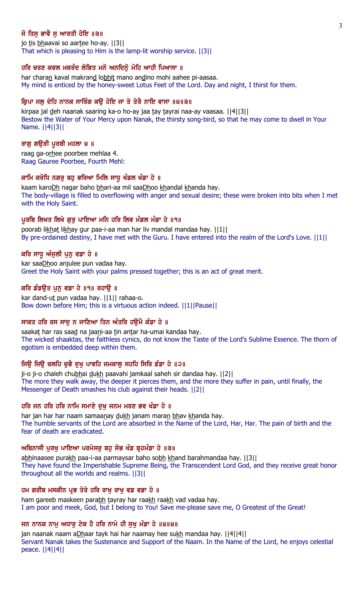# ਜੋ ਤਿਸ ਭਾਵੈ ਸ ਆਰਤੀ ਹੋਇ ॥੩॥

jo tis bhaavai so aartee ho-ay. [[3]] That which is pleasing to Him is the lamp-lit worship service. ||3||

# ਹਰਿ ਚਰਣ ਕਵਲ ਮਕਰੰਦ ਲੋਭਿਤ ਮਨੋ ਅਨਦਿਨੋਂ ਮੋਹਿ ਆਹੀ ਪਿਆਸਾ ॥

har charan kaval makrand lobhit mano andino mohi aahee pi-aasaa. My mind is enticed by the honey-sweet Lotus Feet of the Lord. Day and night, I thirst for them.

# ਕ੍ਰਿਪਾ ਜਲੂ ਦੇਹਿ ਨਾਨਕ ਸਾਰਿੰਗ ਕਉ ਹੋਇ ਜਾ ਤੇ ਤੇਰੈ ਨਾਇ ਵਾਸਾ ॥੪॥੩॥

kirpaa jal deh naanak saaring ka-o ho-ay jaa tay tayrai naa-ay vaasaa. [[4][3]] Bestow the Water of Your Mercy upon Nanak, the thirsty song-bird, so that he may come to dwell in Your Name. ||4||3||

#### ਰਾਗੁ ਗਉੜੀ ਪੁਰਬੀ ਮਹਲਾ ੪ ॥

raag ga-orhee poorbee mehlaa 4. Raag Gauree Poorbee, Fourth Mehl:

#### ਕਾਮਿ ਕਰੋਧਿ ਨਗਰੂ ਬਹੁ ਭਰਿਆ ਮਿਲਿ ਸਾਧੂ ਖੰਡਲ ਖੰਡਾ ਹੇ ॥

kaam karoDh nagar baho bhari-aa mil saaDhoo khandal khanda hay. The body-village is filled to overflowing with anger and sexual desire; these were broken into bits when I met with the Holy Saint.

#### ਪੁਰਬਿ ਲਿਖਤ ਲਿਖੇ ਗਰ ਪਾਇਆ ਮਨਿ ਹਰਿ ਲਿਵ ਮੰਡਲ ਮੰਡਾ ਹੇ ॥੧॥

poorab likhat likhay gur paa-i-aa man har liv mandal mandaa hay. ||1|| By pre-ordained destiny, I have met with the Guru. I have entered into the realm of the Lord's Love. ||1||

#### ਕਰਿ ਸਾਧੂ ਅੰਜੂਲੀ ਪੁਨੂ ਵਡਾ ਹੇ ॥

kar saaDhoo anjulee pun vadaa hay. Greet the Holy Saint with your palms pressed together; this is an act of great merit.

### ਕਰਿ ਡੰਡੳਤ ਪਨ ਵਡਾ ਹੇ ॥੧॥ ਰਹਾੳ ॥

kar dand-ut pun vadaa hay. ||1|| rahaa-o. Bow down before Him; this is a virtuous action indeed. ||1||Pause||

#### ਸਾਕਤ ਹਰਿ ਰਸ ਸਾਦੂ ਨ ਜਾਣਿਆ ਤਿਨ ਅੰਤਰਿ ਹਉਮੈ ਕੰਡਾ ਹੇ ॥

saakat har ras saad na jaani-aa tin antar ha-umai kandaa hay. The wicked shaaktas, the faithless cynics, do not know the Taste of the Lord's Sublime Essence. The thorn of egotism is embedded deep within them.

### ਜਿਉ ਜਿਉ ਚਲਹਿ ਚੁਭੈ ਦੁਖੁ ਪਾਵਹਿ ਜਮਕਾਲੂ ਸਹਹਿ ਸਿਰਿ ਡੰਡਾ ਹੇ ॥੨॥

ji-o ji-o chaleh chubhai dukh paavahi jamkaal saheh sir dandaa hay. [[2]] The more they walk away, the deeper it pierces them, and the more they suffer in pain, until finally, the Messenger of Death smashes his club against their heads. ||2||

# ਹਰਿ ਜਨ ਹਰਿ ਹਰਿ ਨਾਮਿ ਸਮਾਣੇ ਦਖ ਜਨਮ ਮਰਣ ਭਵ ਖੰਡਾ ਹੇ ॥

har jan har har naam samaanay dukh janam maran bhav khanda hay. The humble servants of the Lord are absorbed in the Name of the Lord, Har, Har. The pain of birth and the fear of death are eradicated.

#### ਅਬਿਨਾਸੀ ਪੂਰਖੂ ਪਾਇਆ ਪਰਮੇਸਰੂ ਬਹੁ ਸੋਭ ਖੰਡ ਬੁਹਮੰਡਾ ਹੇ ॥੩॥

abhinaasee purakh paa-i-aa parmaysar baho sobh khand barahmandaa hay. ||3|| They have found the Imperishable Supreme Being, the Transcendent Lord God, and they receive great honor throughout all the worlds and realms. ||3||

#### ਹਮ ਗਰੀਬ ਮਸਕੀਨ ਪ੍ਰਭ ਤੇਰੇ ਹਰਿ ਰਾਖੂ ਰਾਖੂ ਵਡ ਵਡਾ ਹੇ ॥

ham gareeb maskeen parabh tayray har raakh raakh vad vadaa hay. I am poor and meek, God, but I belong to You! Save me-please save me, O Greatest of the Great!

#### ਜਨ ਨਾਨਕ ਨਾਮੂ ਅਧਾਰੂ ਟੇਕ ਹੈ ਹਰਿ ਨਾਮੇ ਹੀ ਸੁਖੂ ਮੰਡਾ ਹੇ ॥੪॥੪॥

jan naanak naam aDhaar tayk hai har naamay hee sukh mandaa hay. ||4||4|| Servant Nanak takes the Sustenance and Support of the Naam. In the Name of the Lord, he enjoys celestial peace. ||4||4||